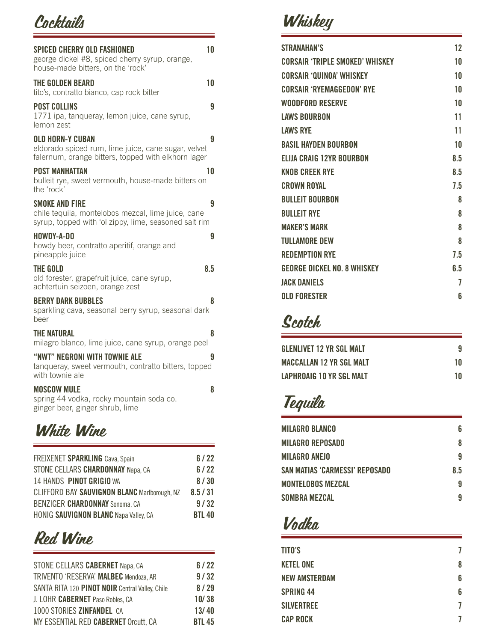### **Cocktails**

| 10<br>SPICED CHERRY OLD FASHIONED<br>george dickel #8, spiced cherry syrup, orange,<br>house-made bitters, on the 'rock'                   |
|--------------------------------------------------------------------------------------------------------------------------------------------|
| 10<br>THE GOLDEN BEARD<br>tito's, contratto bianco, cap rock bitter                                                                        |
| <b>POST COLLINS</b><br>g<br>1771 ipa, tanqueray, lemon juice, cane syrup,<br>lemon zest                                                    |
| <b>OLD HORN-Y CUBAN</b><br>g<br>eldorado spiced rum, lime juice, cane sugar, velvet<br>falernum, orange bitters, topped with elkhorn lager |
| <b>POST MANHATTAN</b><br>10<br>bulleit rye, sweet vermouth, house-made bitters on<br>the 'rock'                                            |
| SMOKE AND FIRE<br>g<br>chile tequila, montelobos mezcal, lime juice, cane<br>syrup, topped with 'ol zippy, lime, seasoned salt rim         |
| HOWDY-A-DO<br>9<br>howdy beer, contratto aperitif, orange and<br>pineapple juice                                                           |
| 8.5<br>THE GOLD<br>old forester, grapefruit juice, cane syrup,<br>achtertuin seizoen, orange zest                                          |
| <b>BERRY DARK BUBBLES</b><br>8<br>sparkling cava, seasonal berry syrup, seasonal dark<br>beer                                              |
| THE NATURAL<br>8<br>milagro blanco, lime juice, cane syrup, orange peel                                                                    |
| "NWT" NEGRONI WITH TOWNIE ALE<br>g<br>tanqueray, sweet vermouth, contratto bitters, topped<br>with townie ale                              |
| <b>MOSCOW MULE</b><br>8<br>spring 44 vodka, rocky mountain soda co.<br>ginger beer, ginger shrub, lime                                     |

### White Wine

| FREIXENET SPARKLING Cava, Spain              | 6/22          |
|----------------------------------------------|---------------|
| STONE CELLARS CHARDONNAY Napa, CA            | 6/22          |
| 14 HANDS PINOT GRIGIO WA                     | 8/30          |
| CLIFFORD BAY SAUVIGNON BLANC Marlborough, NZ | 8.5 / 31      |
| BENZIGER CHARDONNAY Sonoma, CA               | 9/32          |
| <b>HONIG SAUVIGNON BLANC Napa Valley, CA</b> | <b>BTL 40</b> |
|                                              |               |

## Red Wine

| STONE CELLARS CABERNET Napa, CA                 | 6/22          |
|-------------------------------------------------|---------------|
| TRIVENTO 'RESERVA' MALBEC Mendoza, AR           | 9/32          |
| SANTA RITA 120 PINOT NOIR Central Valley, Chile | 8/29          |
| J. LOHR CABERNET Paso Robles, CA                | 10/38         |
| 1000 STORIES ZINFANDEL CA                       | 13/40         |
| MY ESSENTIAL RED CABERNET Orcutt, CA            | <b>BTL 45</b> |

# **Whiskey**

| <b>STRANAHAN'S</b>                     | 12  |
|----------------------------------------|-----|
| <b>CORSAIR 'TRIPLE SMOKED' WHISKEY</b> | 10  |
| <b>CORSAIR 'QUINOA' WHISKEY</b>        | 10  |
| <b>CORSAIR 'RYEMAGGEDON' RYE</b>       | 10  |
| <b>WOODFORD RESERVE</b>                | 10  |
| <b>LAWS BOURBON</b>                    | 11  |
| <b>LAWS RYE</b>                        | 11  |
| <b>BASIL HAYDEN BOURBON</b>            | 10  |
| <b>ELIJA CRAIG 12YR BOURBON</b>        | 8.5 |
| <b>KNOB CREEK RYE</b>                  | 8.5 |
| <b>CROWN ROYAL</b>                     | 7.5 |
| <b>BULLEIT BOURBON</b>                 | 8   |
| <b>BULLEIT RYE</b>                     | 8   |
| <b>MAKER'S MARK</b>                    | 8   |
| <b>TULLAMORE DEW</b>                   | 8   |
| <b>REDEMPTION RYE</b>                  | 7.5 |
| <b>GEORGE DICKEL NO. 8 WHISKEY</b>     | 6.5 |
| <b>JACK DANIELS</b>                    | 7   |
| <b>OLD FORESTER</b>                    | 6   |

## Scotch

| <b>GLENLIVET 12 YR SGL MALT</b> |    |
|---------------------------------|----|
| <b>MACCALLAN 12 YR SGL MALT</b> | 10 |
| LAPHROAIG 10 YR SGL MALT        | 10 |

# Tequila

| <b>MILAGRO BLANCO</b>          | 6   |
|--------------------------------|-----|
| <b>MILAGRO REPOSADO</b>        | 8   |
| <b>MILAGRO ANEJO</b>           | 9   |
| SAN MATIAS 'CARMESSI' REPOSADO | 8.5 |
| <b>MONTELOBOS MEZCAL</b>       | 9   |
| SOMBRA MEZCAL                  | 9   |

## Vodka

| <b>TITO'S</b>        |   |
|----------------------|---|
| <b>KETEL ONE</b>     | 8 |
| <b>NEW AMSTERDAM</b> | 6 |
| <b>SPRING 44</b>     | 6 |
| <b>SILVERTREE</b>    |   |
| <b>CAP ROCK</b>      |   |